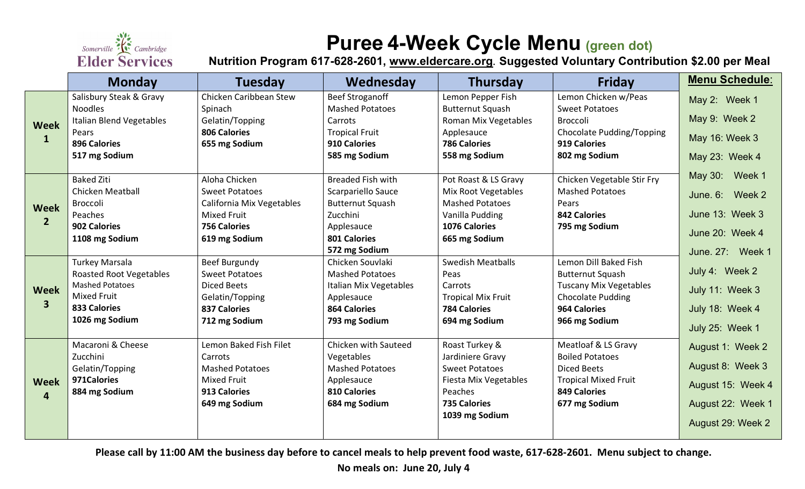

# **Puree 4-Week Cycle Menu (green dot)**

**Nutrition Program 617-628-2601, [www.eldercare.org](http://www.eldercare.org/). Suggested Voluntary Contribution \$2.00 per Meal**

|                               | <b>Monday</b>                   | <b>Tuesday</b>            | Wednesday                | <b>Thursday</b>           | <b>Friday</b>                 | <b>Menu Schedule:</b> |
|-------------------------------|---------------------------------|---------------------------|--------------------------|---------------------------|-------------------------------|-----------------------|
| <b>Week</b><br>$\mathbf{1}$   | Salisbury Steak & Gravy         | Chicken Caribbean Stew    | <b>Beef Stroganoff</b>   | Lemon Pepper Fish         | Lemon Chicken w/Peas          | May 2: Week 1         |
|                               | <b>Noodles</b>                  | Spinach                   | <b>Mashed Potatoes</b>   | <b>Butternut Squash</b>   | <b>Sweet Potatoes</b>         |                       |
|                               | <b>Italian Blend Vegetables</b> | Gelatin/Topping           | Carrots                  | Roman Mix Vegetables      | Broccoli                      | May 9: Week 2         |
|                               | Pears                           | <b>806 Calories</b>       | <b>Tropical Fruit</b>    | Applesauce                | Chocolate Pudding/Topping     | May 16: Week 3        |
|                               | <b>896 Calories</b>             | 655 mg Sodium             | 910 Calories             | <b>786 Calories</b>       | 919 Calories                  |                       |
|                               | 517 mg Sodium                   |                           | 585 mg Sodium            | 558 mg Sodium             | 802 mg Sodium                 | May 23: Week 4        |
| <b>Week</b><br>2 <sup>2</sup> | <b>Baked Ziti</b>               | Aloha Chicken             | <b>Breaded Fish with</b> | Pot Roast & LS Gravy      | Chicken Vegetable Stir Fry    | May 30: Week 1        |
|                               | <b>Chicken Meatball</b>         | <b>Sweet Potatoes</b>     | Scarpariello Sauce       | Mix Root Vegetables       | <b>Mashed Potatoes</b>        |                       |
|                               | <b>Broccoli</b>                 | California Mix Vegetables | <b>Butternut Squash</b>  | <b>Mashed Potatoes</b>    | Pears                         | June. 6: Week 2       |
|                               | Peaches                         | <b>Mixed Fruit</b>        | Zucchini                 | Vanilla Pudding           | <b>842 Calories</b>           | June 13: Week 3       |
|                               | 902 Calories                    | <b>756 Calories</b>       | Applesauce               | 1076 Calories             | 795 mg Sodium                 |                       |
|                               | 1108 mg Sodium                  | 619 mg Sodium             | 801 Calories             | 665 mg Sodium             |                               | June 20: Week 4       |
|                               |                                 |                           | 572 mg Sodium            |                           |                               | June, 27: Week 1      |
| <b>Week</b><br>$\mathbf{3}$   | <b>Turkey Marsala</b>           | <b>Beef Burgundy</b>      | Chicken Souvlaki         | <b>Swedish Meatballs</b>  | Lemon Dill Baked Fish         |                       |
|                               | <b>Roasted Root Vegetables</b>  | <b>Sweet Potatoes</b>     | <b>Mashed Potatoes</b>   | Peas                      | <b>Butternut Squash</b>       | July 4: Week 2        |
|                               | <b>Mashed Potatoes</b>          | <b>Diced Beets</b>        | Italian Mix Vegetables   | Carrots                   | <b>Tuscany Mix Vegetables</b> | July 11: Week 3       |
|                               | <b>Mixed Fruit</b>              | Gelatin/Topping           | Applesauce               | <b>Tropical Mix Fruit</b> | <b>Chocolate Pudding</b>      |                       |
|                               | <b>833 Calories</b>             | <b>837 Calories</b>       | <b>864 Calories</b>      | <b>784 Calories</b>       | <b>964 Calories</b>           | July 18: Week 4       |
|                               | 1026 mg Sodium                  | 712 mg Sodium             | 793 mg Sodium            | 694 mg Sodium             | 966 mg Sodium                 | July 25: Week 1       |
| <b>Week</b><br>$\overline{4}$ | Macaroni & Cheese               | Lemon Baked Fish Filet    | Chicken with Sauteed     | Roast Turkey &            | Meatloaf & LS Gravy           | August 1: Week 2      |
|                               | Zucchini                        | Carrots                   | Vegetables               | Jardiniere Gravy          | <b>Boiled Potatoes</b>        |                       |
|                               | Gelatin/Topping                 | <b>Mashed Potatoes</b>    | <b>Mashed Potatoes</b>   | <b>Sweet Potatoes</b>     | <b>Diced Beets</b>            | August 8: Week 3      |
|                               | 971 Calories                    | <b>Mixed Fruit</b>        | Applesauce               | Fiesta Mix Vegetables     | <b>Tropical Mixed Fruit</b>   | August 15: Week 4     |
|                               | 884 mg Sodium                   | 913 Calories              | <b>810 Calories</b>      | Peaches                   | <b>849 Calories</b>           |                       |
|                               |                                 | 649 mg Sodium             | 684 mg Sodium            | <b>735 Calories</b>       | 677 mg Sodium                 | August 22: Week 1     |
|                               |                                 |                           |                          | 1039 mg Sodium            |                               | August 29: Week 2     |
|                               |                                 |                           |                          |                           |                               |                       |

**Please call by 11:00 AM the business day before to cancel meals to help prevent food waste, 617-628-2601. Menu subject to change.** 

**No meals on: June 20, July 4**